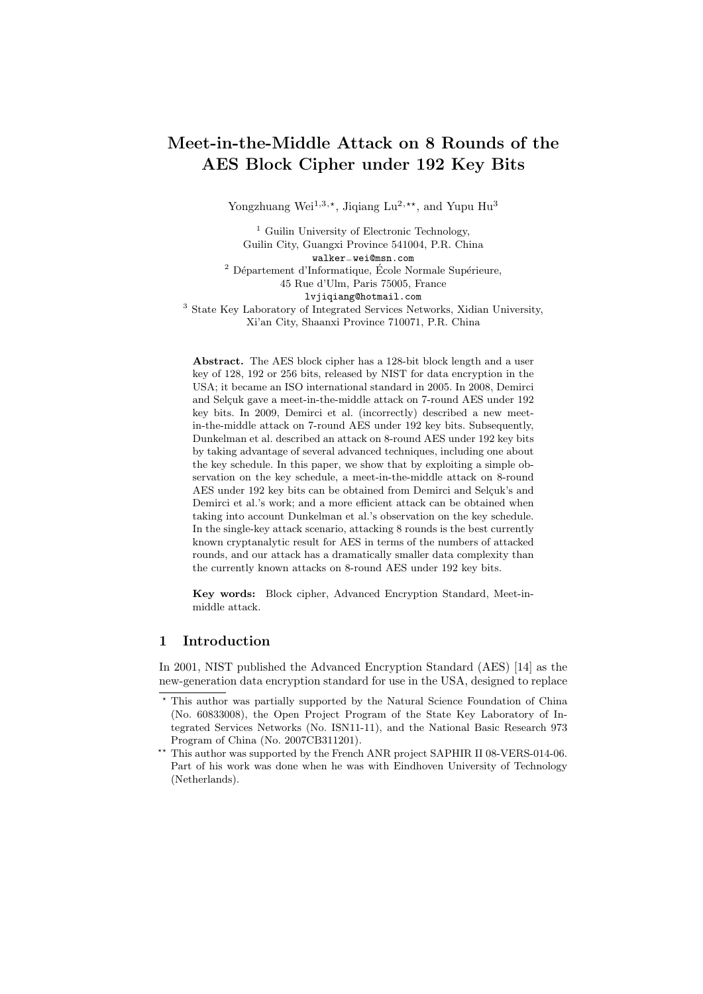# Meet-in-the-Middle Attack on 8 Rounds of the AES Block Cipher under 192 Key Bits

Yongzhuang Wei<sup>1,3,\*</sup>, Jiqiang Lu<sup>2,\*\*</sup>, and Yupu Hu<sup>3</sup>

<sup>1</sup> Guilin University of Electronic Technology, Guilin City, Guangxi Province 541004, P.R. China walker−wei@msn.com  $^2$  Département d'Informatique, École Normale Supérieure, 45 Rue d'Ulm, Paris 75005, France lvjiqiang@hotmail.com <sup>3</sup> State Key Laboratory of Integrated Services Networks, Xidian University, Xi'an City, Shaanxi Province 710071, P.R. China

Abstract. The AES block cipher has a 128-bit block length and a user key of 128, 192 or 256 bits, released by NIST for data encryption in the USA; it became an ISO international standard in 2005. In 2008, Demirci and Selçuk gave a meet-in-the-middle attack on 7-round AES under 192 key bits. In 2009, Demirci et al. (incorrectly) described a new meetin-the-middle attack on 7-round AES under 192 key bits. Subsequently, Dunkelman et al. described an attack on 8-round AES under 192 key bits by taking advantage of several advanced techniques, including one about the key schedule. In this paper, we show that by exploiting a simple observation on the key schedule, a meet-in-the-middle attack on 8-round AES under 192 key bits can be obtained from Demirci and Selcuk's and Demirci et al.'s work; and a more efficient attack can be obtained when taking into account Dunkelman et al.'s observation on the key schedule. In the single-key attack scenario, attacking 8 rounds is the best currently known cryptanalytic result for AES in terms of the numbers of attacked rounds, and our attack has a dramatically smaller data complexity than the currently known attacks on 8-round AES under 192 key bits.

Key words: Block cipher, Advanced Encryption Standard, Meet-inmiddle attack.

## 1 Introduction

In 2001, NIST published the Advanced Encryption Standard (AES) [14] as the new-generation data encryption standard for use in the USA, designed to replace

 $^\star$  This author was partially supported by the Natural Science Foundation of China (No. 60833008), the Open Project Program of the State Key Laboratory of Integrated Services Networks (No. ISN11-11), and the National Basic Research 973 Program of China (No. 2007CB311201).

<sup>\*\*</sup> This author was supported by the French ANR project SAPHIR II 08-VERS-014-06. Part of his work was done when he was with Eindhoven University of Technology (Netherlands).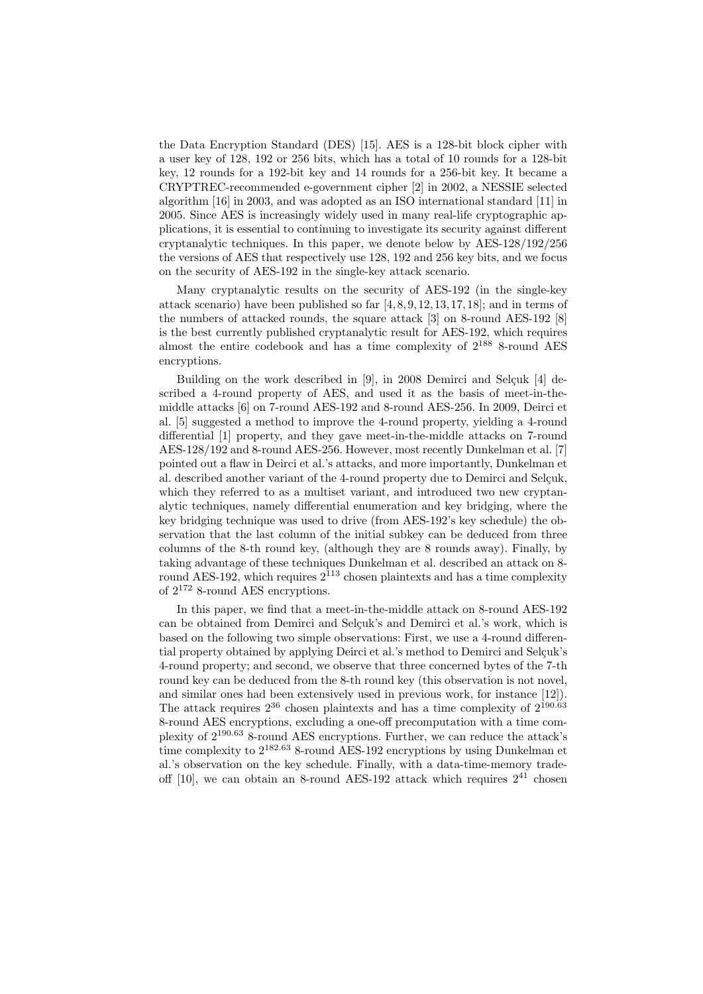the Data Encryption Standard (DES) [15]. AES is a 128-bit block cipher with a user key of 128, 192 or 256 bits, which has a total of 10 rounds for a 128-bit key, 12 rounds for a 192-bit key and 14 rounds for a 256-bit key. It became a CRYPTREC-recommended e-government cipher [2] in 2002, a NESSIE selected algorithm [16] in 2003, and was adopted as an ISO international standard [11] in 2005. Since AES is increasingly widely used in many real-life cryptographic applications, it is essential to continuing to investigate its security against different cryptanalytic techniques. In this paper, we denote below by AES-128/192/256 the versions of AES that respectively use 128, 192 and 256 key bits, and we focus on the security of AES-192 in the single-key attack scenario.

Many cryptanalytic results on the security of AES-192 (in the single-key attack scenario) have been published so far  $[4, 8, 9, 12, 13, 17, 18]$ ; and in terms of the numbers of attacked rounds, the square attack [3] on 8-round AES-192 [8] is the best currently published cryptanalytic result for AES-192, which requires almost the entire codebook and has a time complexity of  $2^{188}$  8-round AES encryptions.

Building on the work described in  $[9]$ , in 2008 Demirci and Selçuk  $[4]$  described a 4-round property of AES, and used it as the basis of meet-in-themiddle attacks [6] on 7-round AES-192 and 8-round AES-256. In 2009, Deirci et al. [5] suggested a method to improve the 4-round property, yielding a 4-round differential [1] property, and they gave meet-in-the-middle attacks on 7-round AES-128/192 and 8-round AES-256. However, most recently Dunkelman et al. [7] pointed out a flaw in Deirci et al.'s attacks, and more importantly, Dunkelman et al. described another variant of the 4-round property due to Demirci and Selçuk, which they referred to as a multiset variant, and introduced two new cryptanalytic techniques, namely differential enumeration and key bridging, where the key bridging technique was used to drive (from AES-192's key schedule) the observation that the last column of the initial subkey can be deduced from three columns of the 8-th round key, (although they are 8 rounds away). Finally, by taking advantage of these techniques Dunkelman et al. described an attack on 8 round AES-192, which requires  $2^{113}$  chosen plaintexts and has a time complexity of 2<sup>172</sup> 8-round AES encryptions.

In this paper, we find that a meet-in-the-middle attack on 8-round AES-192 can be obtained from Demirci and Selçuk's and Demirci et al.'s work, which is based on the following two simple observations: First, we use a 4-round differential property obtained by applying Deirci et al.'s method to Demirci and Selçuk's 4-round property; and second, we observe that three concerned bytes of the 7-th round key can be deduced from the 8-th round key (this observation is not novel, and similar ones had been extensively used in previous work, for instance [12]). The attack requires  $2^{36}$  chosen plaintexts and has a time complexity of  $2^{190.63}$ 8-round AES encryptions, excluding a one-off precomputation with a time complexity of 2<sup>190</sup>.<sup>63</sup> 8-round AES encryptions. Further, we can reduce the attack's time complexity to  $2^{182.63}$  8-round AES-192 encryptions by using Dunkelman et al.'s observation on the key schedule. Finally, with a data-time-memory tradeoff [10], we can obtain an 8-round AES-192 attack which requires  $2^{41}$  chosen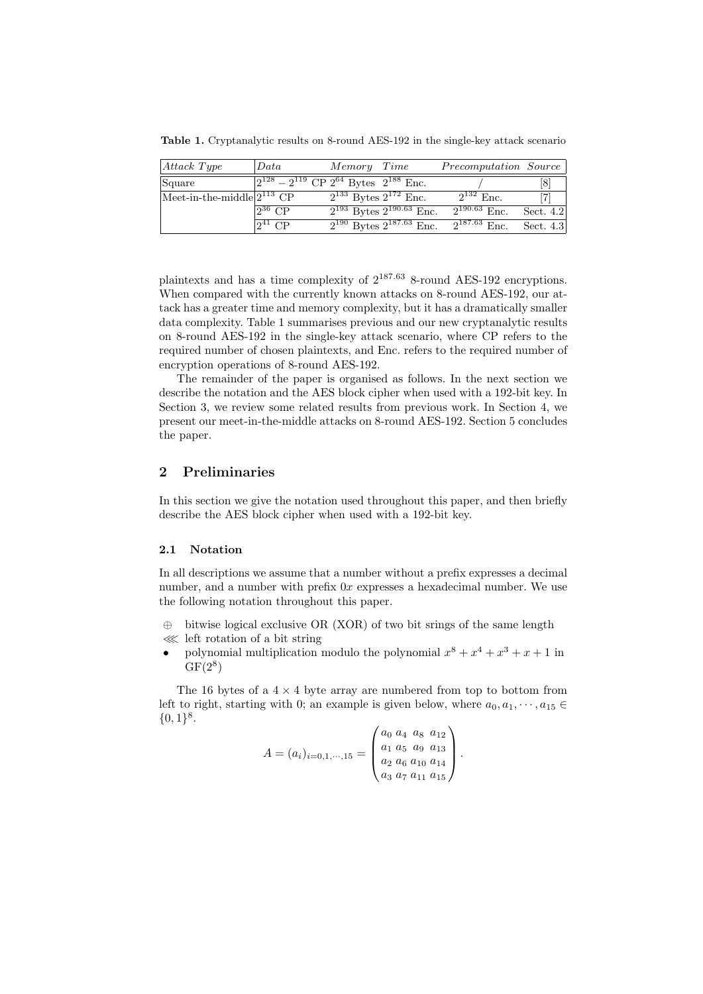Table 1. Cryptanalytic results on 8-round AES-192 in the single-key attack scenario

| $ Attack\ Type$                                     | Data                                                      | Memory Time                    |                                   | Precomputation Source |             |
|-----------------------------------------------------|-----------------------------------------------------------|--------------------------------|-----------------------------------|-----------------------|-------------|
| Square                                              | $\sqrt{2^{128}-2^{119}}$ CP $2^{64}$ Bytes $2^{188}$ Enc. |                                |                                   |                       |             |
| Meet-in-the-middle $2^{113}$ $\overline{\text{CP}}$ |                                                           | $2^{133}$ Bytes $2^{172}$ Enc. |                                   | $2^{132}$ Enc.        |             |
|                                                     | $2^{36}$ CP                                               |                                | $2^{193}$ Bytes $2^{190.63}$ Enc. | $2^{190.63}$ Enc.     | Sect. $4.2$ |
|                                                     | $2^{41}$ CP                                               |                                | $2^{190}$ Bytes $2^{187.63}$ Enc. | $2^{187.63}$ Enc.     | Sect. 4.3   |

plaintexts and has a time complexity of 2187.<sup>63</sup> 8-round AES-192 encryptions. When compared with the currently known attacks on 8-round AES-192, our attack has a greater time and memory complexity, but it has a dramatically smaller data complexity. Table 1 summarises previous and our new cryptanalytic results on 8-round AES-192 in the single-key attack scenario, where CP refers to the required number of chosen plaintexts, and Enc. refers to the required number of encryption operations of 8-round AES-192.

The remainder of the paper is organised as follows. In the next section we describe the notation and the AES block cipher when used with a 192-bit key. In Section 3, we review some related results from previous work. In Section 4, we present our meet-in-the-middle attacks on 8-round AES-192. Section 5 concludes the paper.

# 2 Preliminaries

In this section we give the notation used throughout this paper, and then briefly describe the AES block cipher when used with a 192-bit key.

#### 2.1 Notation

In all descriptions we assume that a number without a prefix expresses a decimal number, and a number with prefix  $0x$  expresses a hexadecimal number. We use the following notation throughout this paper.

- ⊕ bitwise logical exclusive OR (XOR) of two bit srings of the same length ≪ left rotation of a bit string
- polynomial multiplication modulo the polynomial  $x^8 + x^4 + x^3 + x + 1$  in  $GF(2^8)$

The 16 bytes of a  $4 \times 4$  byte array are numbered from top to bottom from left to right, starting with 0; an example is given below, where  $a_0, a_1, \dots, a_{15} \in$  $\{0,1\}^8$ .

$$
A = (a_i)_{i=0,1,\dots,15} = \begin{pmatrix} a_0 & a_4 & a_8 & a_{12} \\ a_1 & a_5 & a_9 & a_{13} \\ a_2 & a_6 & a_{10} & a_{14} \\ a_3 & a_7 & a_{11} & a_{15} \end{pmatrix}.
$$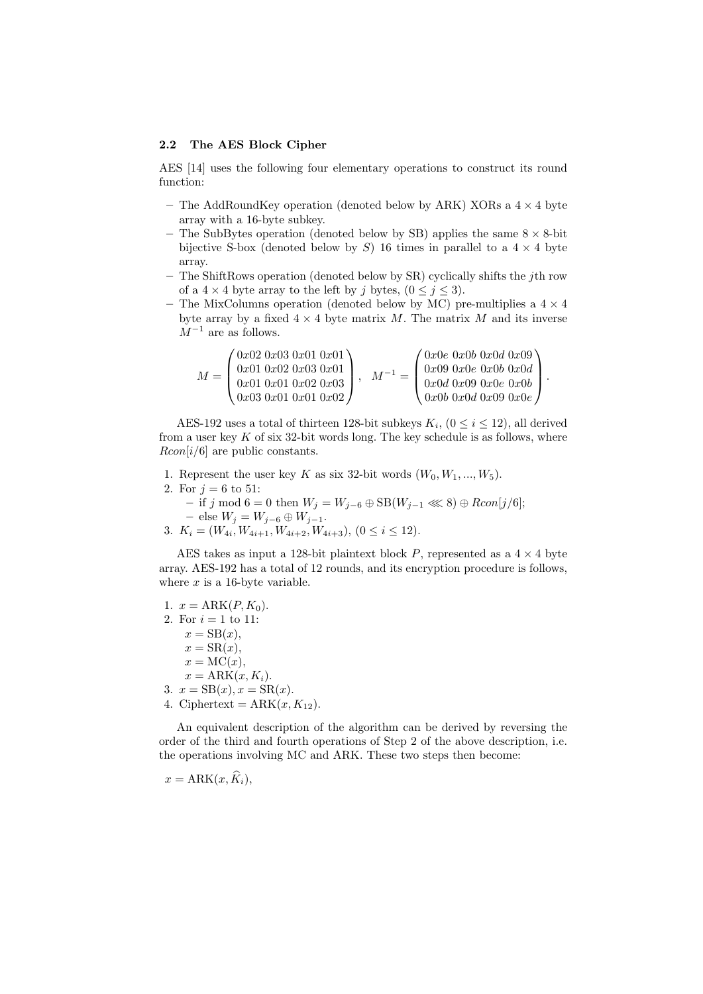#### 2.2 The AES Block Cipher

AES [14] uses the following four elementary operations to construct its round function:

- The AddRoundKey operation (denoted below by ARK) XORs a  $4 \times 4$  byte array with a 16-byte subkey.
- The SubBytes operation (denoted below by SB) applies the same  $8 \times 8$ -bit bijective S-box (denoted below by S) 16 times in parallel to a  $4 \times 4$  byte array.
- The ShiftRows operation (denoted below by SR) cyclically shifts the jth row of a  $4 \times 4$  byte array to the left by j bytes,  $(0 \le j \le 3)$ .
- The MixColumns operation (denoted below by MC) pre-multiplies a  $4 \times 4$ byte array by a fixed  $4 \times 4$  byte matrix M. The matrix M and its inverse  $M^{-1}$  are as follows.

| $\int 0x02~0x03~0x01~0x01$<br>$\begin{array}{c} 0x01\ 0x02\ 0x03\ 0x01 \\ 0x01\ 0x01\ 0x02\ 0x03 \end{array}$<br>$M =$<br>0x030x010x010x02 | $\prime$ 0x0e 0x0b 0x0d 0x09)<br>$\begin{array}{c} 0x09\ 0x0e\ 0x0b\ 0x0d\\ 0x0d\ 0x09\ 0x0e\ 0x0b \end{array}$<br>$0x0b$ 0x0d 0x09 0x0e / |  |
|--------------------------------------------------------------------------------------------------------------------------------------------|--------------------------------------------------------------------------------------------------------------------------------------------|--|
|--------------------------------------------------------------------------------------------------------------------------------------------|--------------------------------------------------------------------------------------------------------------------------------------------|--|

AES-192 uses a total of thirteen 128-bit subkeys  $K_i$ ,  $(0 \le i \le 12)$ , all derived from a user key  $K$  of six 32-bit words long. The key schedule is as follows, where  $Rcon[i/6]$  are public constants.

- 1. Represent the user key K as six 32-bit words  $(W_0, W_1, ..., W_5)$ .
- 2. For  $j = 6$  to 51:
	- $-$  if j mod 6 = 0 then  $W_j = W_{j-6} \oplus SB(W_{j-1} \ll 8) \oplus Rcon[j/6];$  $-$  else  $W_j = W_{j-6} \oplus W_{j-1}$ .
- 3.  $K_i = (W_{4i}, W_{4i+1}, W_{4i+2}, W_{4i+3}), (0 \le i \le 12).$

AES takes as input a 128-bit plaintext block P, represented as a  $4 \times 4$  byte array. AES-192 has a total of 12 rounds, and its encryption procedure is follows, where  $x$  is a 16-byte variable.

1.  $x = \text{ARK}(P, K_0)$ . 2. For  $i = 1$  to 11:  $x = SB(x),$  $x = SR(x),$  $x = \text{MC}(x),$  $x = \text{ARK}(x, K_i).$ 3.  $x = SB(x), x = SR(x)$ . 4. Ciphertext =  $ARK(x, K_{12})$ .

An equivalent description of the algorithm can be derived by reversing the order of the third and fourth operations of Step 2 of the above description, i.e. the operations involving MC and ARK. These two steps then become:

 $x = \text{ARK}(x, \widehat{K}_i),$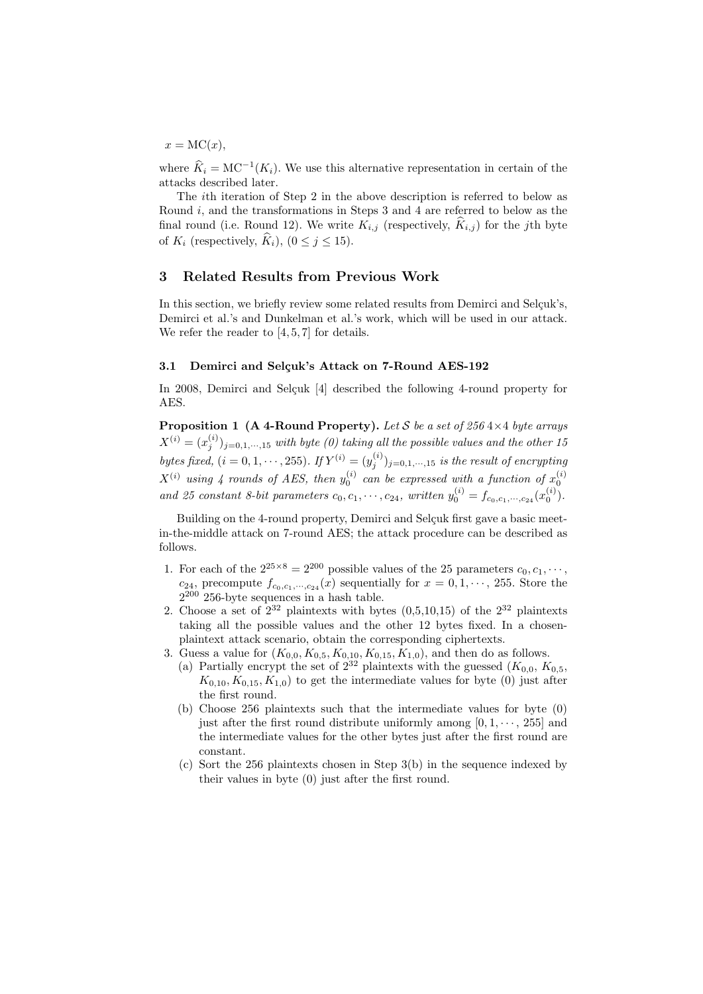$x = \text{MC}(x)$ .

where  $\widehat{K}_i = \text{MC}^{-1}(K_i)$ . We use this alternative representation in certain of the attacks described later.

The ith iteration of Step 2 in the above description is referred to below as Round  $i$ , and the transformations in Steps 3 and 4 are referred to below as the final round (i.e. Round 12). We write  $K_{i,j}$  (respectively,  $\widehat{K}_{i,j}$ ) for the jth byte of  $K_i$  (respectively,  $\widehat{K}_i$ ),  $(0 \leq i \leq 15)$ .

## 3 Related Results from Previous Work

In this section, we briefly review some related results from Demirci and Selçuk's, Demirci et al.'s and Dunkelman et al.'s work, which will be used in our attack. We refer the reader to [4, 5, 7] for details.

#### 3.1 Demirci and Selçuk's Attack on 7-Round AES-192

In 2008, Demirci and Selçuk [4] described the following 4-round property for AES.

**Proposition 1 (A 4-Round Property).** Let S be a set of 256 4×4 byte arrays  $X^{(i)}=(x_j^{(i)})_{j=0,1,\cdots,15}$  with byte (0) taking all the possible values and the other 15 bytes fixed,  $(i = 0, 1, \dots, 255)$ . If  $Y^{(i)} = (y_j^{(i)})_{j=0,1,\dots,15}$  is the result of encrypting  $X^{(i)}$  using 4 rounds of AES, then  $y_0^{(i)}$  can be expressed with a function of  $x_0^{(i)}$ and 25 constant 8-bit parameters  $c_0, c_1, \dots, c_{24}$ , written  $y_0^{(i)} = f_{c_0, c_1, \dots, c_{24}}(x_0^{(i)})$ .

Building on the 4-round property, Demirci and Selçuk first gave a basic meetin-the-middle attack on 7-round AES; the attack procedure can be described as follows.

- 1. For each of the  $2^{25\times8} = 2^{200}$  possible values of the 25 parameters  $c_0, c_1, \dots$ ,  $c_{24}$ , precompute  $f_{c_0,c_1,\dots,c_{24}}(x)$  sequentially for  $x=0,1,\dots,255$ . Store the 2 <sup>200</sup> 256-byte sequences in a hash table.
- 2. Choose a set of  $2^{32}$  plaintexts with bytes  $(0,5,10,15)$  of the  $2^{32}$  plaintexts taking all the possible values and the other 12 bytes fixed. In a chosenplaintext attack scenario, obtain the corresponding ciphertexts.
- 3. Guess a value for  $(K_{0,0}, K_{0,5}, K_{0,10}, K_{0,15}, K_{1,0})$ , and then do as follows.
	- (a) Partially encrypt the set of  $2^{32}$  plaintexts with the guessed  $(K_{0,0}, K_{0,5},$  $K_{0,10}$ ,  $K_{0,15}$ ,  $K_{1,0}$ ) to get the intermediate values for byte (0) just after the first round.
	- (b) Choose 256 plaintexts such that the intermediate values for byte (0) just after the first round distribute uniformly among  $[0, 1, \dots, 255]$  and the intermediate values for the other bytes just after the first round are constant.
	- (c) Sort the 256 plaintexts chosen in Step 3(b) in the sequence indexed by their values in byte (0) just after the first round.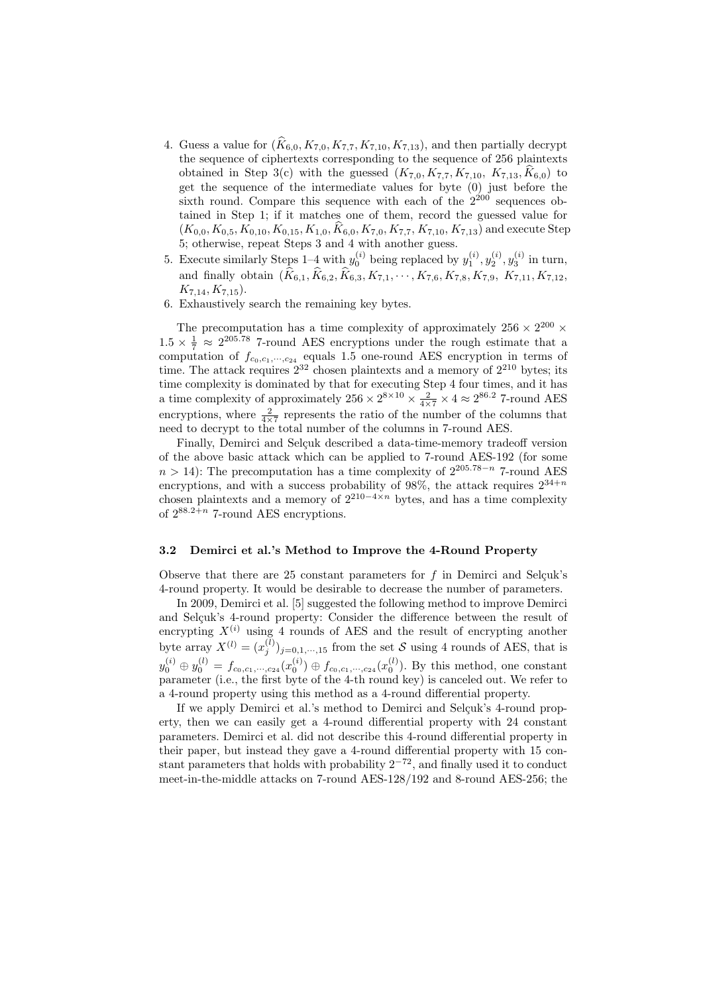- 4. Guess a value for  $(\widehat{K}_{6,0}, K_{7,0}, K_{7,7}, K_{7,10}, K_{7,13})$ , and then partially decrypt the sequence of ciphertexts corresponding to the sequence of 256 plaintexts obtained in Step 3(c) with the guessed  $(K_{7,0}, K_{7,7}, K_{7,10}, K_{7,13}, \hat{K}_{6,0})$  to get the sequence of the intermediate values for byte (0) just before the sixth round. Compare this sequence with each of the  $2^{200}$  sequences obtained in Step 1; if it matches one of them, record the guessed value for  $(K_{0,0}, K_{0,5}, K_{0,10}, K_{0,15}, K_{1,0}, \hat{K}_{6,0}, K_{7,0}, K_{7,7}, K_{7,10}, K_{7,13})$  and execute Step 5; otherwise, repeat Steps 3 and 4 with another guess.
- 5. Execute similarly Steps 1–4 with  $y_0^{(i)}$  being replaced by  $y_1^{(i)}$ ,  $y_2^{(i)}$ ,  $y_3^{(i)}$  in turn, and finally obtain  $(\hat{K}_{6,1}, \hat{K}_{6,2}, \hat{K}_{6,3}, K_{7,1}, \cdots, K_{7,6}, K_{7,8}, K_{7,9}, K_{7,11}, K_{7,12},$  $K_{7,14}, K_{7,15}$ ).
- 6. Exhaustively search the remaining key bytes.

The precomputation has a time complexity of approximately  $256 \times 2^{200} \times$  $1.5 \times \frac{1}{7} \approx 2^{205.78}$  7-round AES encryptions under the rough estimate that a computation of  $f_{c_0,c_1,\dots,c_{24}}$  equals 1.5 one-round AES encryption in terms of time. The attack requires  $2^{32}$  chosen plaintexts and a memory of  $2^{210}$  bytes; its time complexity is dominated by that for executing Step 4 four times, and it has a time complexity of approximately  $256 \times 2^{8 \times 10} \times \frac{2}{4 \times 7} \times 4 \approx 2^{86.2}$  7-round AES encryptions, where  $\frac{2}{4\times7}$  represents the ratio of the number of the columns that need to decrypt to the total number of the columns in 7-round AES.

Finally, Demirci and Selçuk described a data-time-memory tradeoff version of the above basic attack which can be applied to 7-round AES-192 (for some  $n > 14$ ): The precomputation has a time complexity of  $2^{205.78-n}$  7-round AES encryptions, and with a success probability of 98%, the attack requires  $2^{34+n}$ chosen plaintexts and a memory of  $2^{210-4\times n}$  bytes, and has a time complexity of  $2^{88.2+n}$  7-round AES encryptions.

## 3.2 Demirci et al.'s Method to Improve the 4-Round Property

Observe that there are 25 constant parameters for  $f$  in Demirci and Selçuk's 4-round property. It would be desirable to decrease the number of parameters.

In 2009, Demirci et al. [5] suggested the following method to improve Demirci and Selçuk's 4-round property: Consider the difference between the result of encrypting  $X^{(i)}$  using 4 rounds of AES and the result of encrypting another byte array  $X^{(l)} = (x_j^{(l)})_{j=0,1,\cdots,15}$  from the set S using 4 rounds of AES, that is  $y_0^{(i)} \oplus y_0^{(l)} = f_{c_0,c_1,\dots,c_{24}}(x_0^{(i)}) \oplus f_{c_0,c_1,\dots,c_{24}}(x_0^{(l)})$ . By this method, one constant parameter (i.e., the first byte of the 4-th round key) is canceled out. We refer to a 4-round property using this method as a 4-round differential property.

If we apply Demirci et al.'s method to Demirci and Selçuk's 4-round property, then we can easily get a 4-round differential property with 24 constant parameters. Demirci et al. did not describe this 4-round differential property in their paper, but instead they gave a 4-round differential property with 15 constant parameters that holds with probability  $2^{-72}$ , and finally used it to conduct meet-in-the-middle attacks on 7-round AES-128/192 and 8-round AES-256; the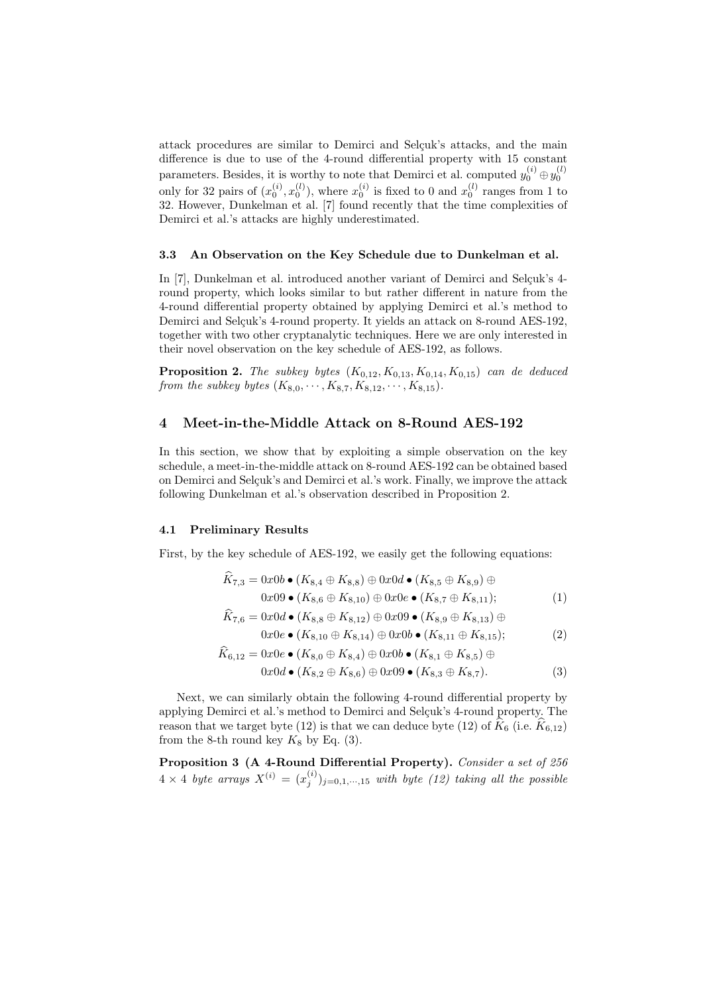attack procedures are similar to Demirci and Selçuk's attacks, and the main difference is due to use of the 4-round differential property with 15 constant parameters. Besides, it is worthy to note that Demirci et al. computed  $y_0^{(i)} \oplus y_0^{(l)}$ only for 32 pairs of  $(x_0^{(i)}, x_0^{(l)})$ , where  $x_0^{(i)}$  is fixed to 0 and  $x_0^{(l)}$  ranges from 1 to 32. However, Dunkelman et al. [7] found recently that the time complexities of Demirci et al.'s attacks are highly underestimated.

#### 3.3 An Observation on the Key Schedule due to Dunkelman et al.

In [7], Dunkelman et al. introduced another variant of Demirci and Selcuk's 4round property, which looks similar to but rather different in nature from the 4-round differential property obtained by applying Demirci et al.'s method to Demirci and Selcuk's 4-round property. It yields an attack on 8-round AES-192, together with two other cryptanalytic techniques. Here we are only interested in their novel observation on the key schedule of AES-192, as follows.

**Proposition 2.** The subkey bytes  $(K_{0,12}, K_{0,13}, K_{0,14}, K_{0,15})$  can de deduced from the subkey bytes  $(K_{8,0}, \cdots, K_{8,7}, K_{8,12}, \cdots, K_{8,15}).$ 

## 4 Meet-in-the-Middle Attack on 8-Round AES-192

In this section, we show that by exploiting a simple observation on the key schedule, a meet-in-the-middle attack on 8-round AES-192 can be obtained based on Demirci and Selcuk's and Demirci et al.'s work. Finally, we improve the attack following Dunkelman et al.'s observation described in Proposition 2.

#### 4.1 Preliminary Results

First, by the key schedule of AES-192, we easily get the following equations:

$$
\widehat{K}_{7,3} = 0x0b \bullet (K_{8,4} \oplus K_{8,8}) \oplus 0x0d \bullet (K_{8,5} \oplus K_{8,9}) \oplus \n0x09 \bullet (K_{8,6} \oplus K_{8,10}) \oplus 0x0e \bullet (K_{8,7} \oplus K_{8,11});
$$
\n
$$
\widehat{K}_{7,6} = 0x0d \bullet (K_{8,8} \oplus K_{8,12}) \oplus 0x09 \bullet (K_{8,9} \oplus K_{8,12}) \oplus \n0x09 \bullet (K_{8,9} \oplus K_{8,12}) \oplus 0x09 \bullet (K_{8,9} \oplus K_{8,12}) \oplus \n0x09 \bullet (K_{8,9} \oplus K_{8,12}) \oplus \n0x09 \bullet (K_{8,9} \oplus K_{8,12}) \oplus \n0x09 \bullet (K_{8,9} \oplus K_{8,12}) \oplus \n0x09 \bullet (K_{8,9} \oplus K_{8,12}) \oplus \n0x09 \bullet (K_{8,9} \oplus K_{8,12}) \oplus \n0x09 \bullet (K_{8,9} \oplus K_{8,12}) \oplus \n0x09 \bullet (K_{8,9} \oplus K_{8,12}) \oplus \n0x09 \bullet (K_{8,9} \oplus K_{8,12}) \oplus \n0x09 \bullet (K_{8,9} \oplus K_{8,12}) \oplus \n0x09 \bullet (K_{8,9} \oplus K_{8,12}) \oplus \n0x09 \bullet (K_{8,9} \oplus K_{8,12}) \oplus \n0x09 \bullet (K_{8,9} \oplus K_{8,12}) \oplus \n0x09 \bullet (K_{8,9} \oplus K_{8,12}) \oplus \n0x09 \bullet (K_{8,9} \oplus K_{8,12}) \oplus \n0x09 \bullet (K_{8,9} \oplus K_{8,12}) \oplus \n0x09 \bullet (K_{8,9} \oplus K_{8,12}) \oplus \n0x09 \bullet (K_{8,9} \oplus K_{8,12}) \oplus
$$

$$
0x0e \bullet (K_{8,10} \oplus K_{8,14}) \oplus 0x0b \bullet (K_{8,11} \oplus K_{8,15}); \tag{2}
$$

$$
\widehat{K}_{6,12} = 0x0e \bullet (K_{8,0} \oplus K_{8,4}) \oplus 0x0b \bullet (K_{8,1} \oplus K_{8,5}) \oplus \n0x0d \bullet (K_{8,2} \oplus K_{8,6}) \oplus 0x09 \bullet (K_{8,3} \oplus K_{8,7}).
$$
\n(3)

Next, we can similarly obtain the following 4-round differential property by applying Demirci et al.'s method to Demirci and Selçuk's 4-round property. The reason that we target byte (12) is that we can deduce byte (12) of  $K_6$  (i.e.  $K_{6,12}$ ) from the 8-th round key  $K_8$  by Eq. (3).

Proposition 3 (A 4-Round Differential Property). Consider a set of 256  $4 \times 4$  byte arrays  $X^{(i)} = (x_j^{(i)})_{j=0,1,\cdots,15}$  with byte (12) taking all the possible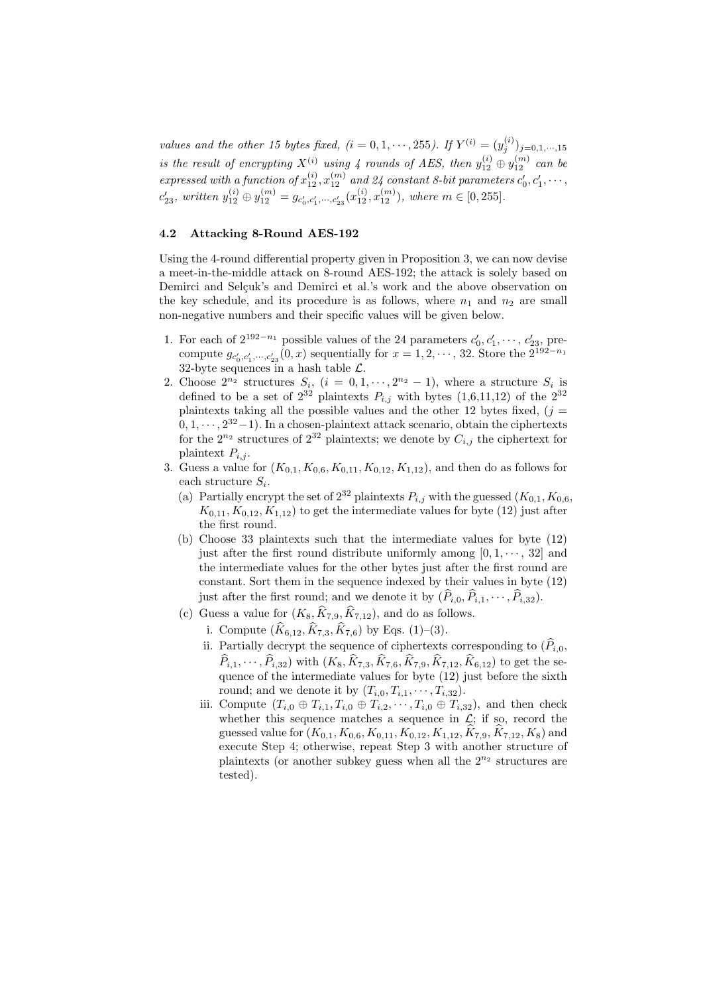values and the other 15 bytes fixed,  $(i = 0, 1, \dots, 255)$ . If  $Y^{(i)} = (y_j^{(i)})_{j=0,1,\dots,15}$ is the result of encrypting  $X^{(i)}$  using 4 rounds of AES, then  $y_{12}^{(i)} \oplus y_{12}^{(m)}$  can be expressed with a function of  $x_{12}^{(i)}$ ,  $x_{12}^{(m)}$  and 24 constant 8-bit parameters  $c'_0, c'_1, \cdots$ ,  $c'_{23}$ , written  $y_{12}^{(i)} \oplus y_{12}^{(m)} = g_{c'_0,c'_1,\dots,c'_{23}}(x_{12}^{(i)},x_{12}^{(m)}),$  where  $m \in [0,255]$ .

### 4.2 Attacking 8-Round AES-192

Using the 4-round differential property given in Proposition 3, we can now devise a meet-in-the-middle attack on 8-round AES-192; the attack is solely based on Demirci and Selçuk's and Demirci et al.'s work and the above observation on the key schedule, and its procedure is as follows, where  $n_1$  and  $n_2$  are small non-negative numbers and their specific values will be given below.

- 1. For each of  $2^{192-n_1}$  possible values of the 24 parameters  $c'_0, c'_1, \dots, c'_{23}$ , precompute  $g_{c'_0,c'_1,\dots,c'_{23}}(0,x)$  sequentially for  $x=1,2,\dots,32$ . Store the  $2^{192-n_1}$ 32-byte sequences in a hash table  $\mathcal{L}$ .
- 2. Choose  $2^{n_2}$  structures  $S_i$ ,  $(i = 0, 1, \dots, 2^{n_2} 1)$ , where a structure  $S_i$  is defined to be a set of  $2^{32}$  plaintexts  $P_{i,j}$  with bytes  $(1,6,11,12)$  of the  $2^{32}$ plaintexts taking all the possible values and the other 12 bytes fixed,  $(i =$  $0, 1, \dots, 2^{32}-1$ . In a chosen-plaintext attack scenario, obtain the ciphertexts for the  $2^{n_2}$  structures of  $2^{32}$  plaintexts; we denote by  $C_{i,j}$  the ciphertext for plaintext  $P_{i,j}$ .
- 3. Guess a value for  $(K_{0,1}, K_{0,6}, K_{0,11}, K_{0,12}, K_{1,12})$ , and then do as follows for each structure  $S_i$ .
	- (a) Partially encrypt the set of  $2^{32}$  plaintexts  $P_{i,j}$  with the guessed  $(K_{0,1}, K_{0,6},$  $K_{0,11}, K_{0,12}, K_{1,12}$  to get the intermediate values for byte (12) just after the first round.
	- (b) Choose 33 plaintexts such that the intermediate values for byte (12) just after the first round distribute uniformly among  $[0, 1, \dots, 32]$  and the intermediate values for the other bytes just after the first round are constant. Sort them in the sequence indexed by their values in byte (12) just after the first round; and we denote it by  $(\widehat{P}_{i,0}, \widehat{P}_{i,1}, \cdots, \widehat{P}_{i,32}).$
	- (c) Guess a value for  $(K_8, \hat{K}_{7,9}, \hat{K}_{7,12})$ , and do as follows.
		- i. Compute  $(\widehat{K}_{6,12}, \widehat{K}_{7,3}, \widehat{K}_{7,6})$  by Eqs. (1)–(3).
		- ii. Partially decrypt the sequence of ciphertexts corresponding to  $(\widehat{P}_i)_0$ ,  $\widehat{P}_{i,1}, \cdots, \widehat{P}_{i,32}$ ) with  $(K_8, \widehat{K}_{7,3}, \widehat{K}_{7,6}, \widehat{K}_{7,9}, \widehat{K}_{7,12}, \widehat{K}_{6,12})$  to get the sequence of the intermediate values for byte  $(12)$  just before the sixth round; and we denote it by  $(T_{i,0}, T_{i,1}, \cdots, T_{i,32})$ .
		- iii. Compute  $(T_{i,0} \oplus T_{i,1}, T_{i,0} \oplus T_{i,2}, \cdots, T_{i,0} \oplus T_{i,32})$ , and then check whether this sequence matches a sequence in  $\mathcal{L}$ ; if so, record the guessed value for  $(K_{0,1}, K_{0,6}, K_{0,11}, K_{0,12}, K_{1,12}, \hat{K}_{7,9}, \hat{K}_{7,12}, K_8)$  and execute Step 4; otherwise, repeat Step 3 with another structure of plaintexts (or another subkey guess when all the  $2^{n_2}$  structures are tested).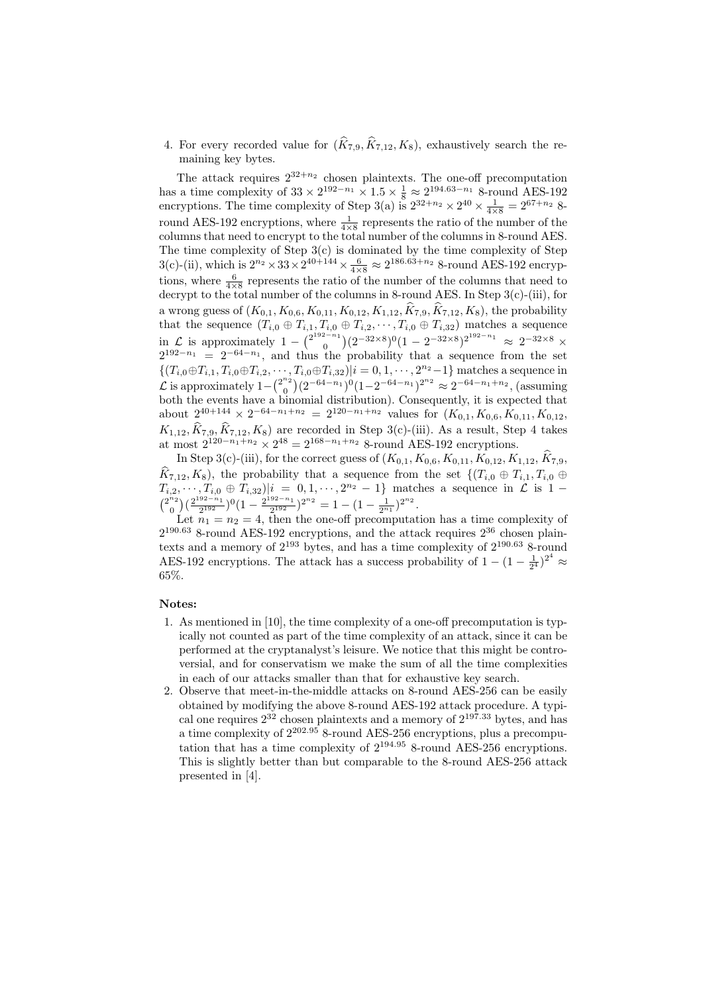4. For every recorded value for  $(\widehat{K}_{7,9}, \widehat{K}_{7,12}, K_8)$ , exhaustively search the remaining key bytes.

The attack requires  $2^{32+n_2}$  chosen plaintexts. The one-off precomputation has a time complexity of  $33 \times 2^{192-n_1} \times 1.5 \times \frac{1}{8} \approx 2^{194.63-n_1}$  8-round AES-192 encryptions. The time complexity of Step 3(a) is  $2^{32+n_2} \times 2^{40} \times \frac{1}{4 \times 8} = 2^{67+n_2}$  8round AES-192 encryptions, where  $\frac{1}{4 \times 8}$  represents the ratio of the number of the columns that need to encrypt to the total number of the columns in 8-round AES. The time complexity of Step 3(c) is dominated by the time complexity of Step 3(c)-(ii), which is  $2^{n_2} \times 33 \times 2^{40+144} \times \frac{6}{4 \times 8} \approx 2^{186.63+n_2}$  8-round AES-192 encryptions, where  $\frac{6}{4\times8}$  represents the ratio of the number of the columns that need to decrypt to the total number of the columns in 8-round AES. In Step  $3(c)$ -(iii), for a wrong guess of  $(K_{0,1}, K_{0,6}, K_{0,11}, K_{0,12}, K_{1,12}, K_{7,9}, K_{7,12}, K_8)$ , the probability that the sequence  $(T_{i,0} \oplus T_{i,1}, T_{i,0} \oplus T_{i,2}, \cdots, T_{i,0} \oplus T_{i,32})$  matches a sequence in  $\mathcal{L}$  is approximately 1 –  $\binom{2^{192-n_1}}{0}$  $\binom{2^{-n}}{0}(2^{-32\times8})^0(1-2^{-32\times8})^{2^{192-n_1}} \approx 2^{-32\times8}$  ×  $2^{192-n_1} = 2^{-64-n_1}$ , and thus the probability that a sequence from the set  $\{(T_{i,0} \oplus T_{i,1}, T_{i,0} \oplus T_{i,2}, \cdots, T_{i,0} \oplus T_{i,32}) | i = 0, 1, \cdots, 2^{n_2}-1\}$  matches a sequence in  $\mathcal{L}$  is approximately 1– $\binom{2^{n_2}}{0}$  $\binom{n_2}{0}(2^{-64-n_1})^0(1-2^{-64-n_1})^{2^{n_2}} \approx 2^{-64-n_1+n_2}$ , (assuming both the events have a binomial distribution). Consequently, it is expected that about  $2^{40+144} \times 2^{-64-n_1+n_2} = 2^{120-n_1+n_2}$  values for  $(K_{0,1}, K_{0,6}, K_{0,11}, K_{0,12},$  $K_{1,12}, K_{7,9}, K_{7,12}, K_8$  are recorded in Step 3(c)-(iii). As a result, Step 4 takes at most  $2^{120-n_1+n_2} \times 2^{48} = 2^{168-n_1+n_2}$  8-round AES-192 encryptions.

In Step 3(c)-(iii), for the correct guess of  $(K_{0,1}, K_{0,6}, K_{0,11}, K_{0,12}, K_{1,12}, K_{7,9}$ ,  $\widehat{K}_{7,12}, K_8$ ), the probability that a sequence from the set  $\{(T_{i,0} \oplus T_{i,1}, T_{i,0} \oplus$  $T_{i,2}, \dots, T_{i,0} \oplus T_{i,32}$   $|i = 0, 1, \dots, 2^{n_2} - 1$  matches a sequence in  $\mathcal{L}$  is 1 –  $\binom{2^{n_2}}{0}$  $\binom{n_2}{0}$   $\left(\frac{2^{192-n_1}}{2^{192}}\right)$  $\frac{92-n_1}{2^{192}}$  $)^0$  $(1-\frac{2^{192-n_1}}{2^{192}})$  $\frac{1}{2^{192}}^{2^{n-1}}$  $2^{n^2} = 1 - (1 - \frac{1}{2^{n_1}})^{2^{n_2}}$ .

Let  $n_1 = n_2 = 4$ , then the one-off precomputation has a time complexity of  $2^{190.63}$  8-round AES-192 encryptions, and the attack requires  $2^{36}$  chosen plaintexts and a memory of  $2^{193}$  bytes, and has a time complexity of  $2^{190.63}$  8-round AES-192 encryptions. The attack has a success probability of  $1 - (1 - \frac{1}{2^4})^{2^4} \approx$ 65%.

## Notes:

- 1. As mentioned in [10], the time complexity of a one-off precomputation is typically not counted as part of the time complexity of an attack, since it can be performed at the cryptanalyst's leisure. We notice that this might be controversial, and for conservatism we make the sum of all the time complexities in each of our attacks smaller than that for exhaustive key search.
- 2. Observe that meet-in-the-middle attacks on 8-round AES-256 can be easily obtained by modifying the above 8-round AES-192 attack procedure. A typical one requires  $2^{32}$  chosen plaintexts and a memory of  $2^{197.33}$  bytes, and has a time complexity of  $2^{202.95}$  8-round AES-256 encryptions, plus a precomputation that has a time complexity of  $2^{194.95}$  8-round AES-256 encryptions. This is slightly better than but comparable to the 8-round AES-256 attack presented in [4].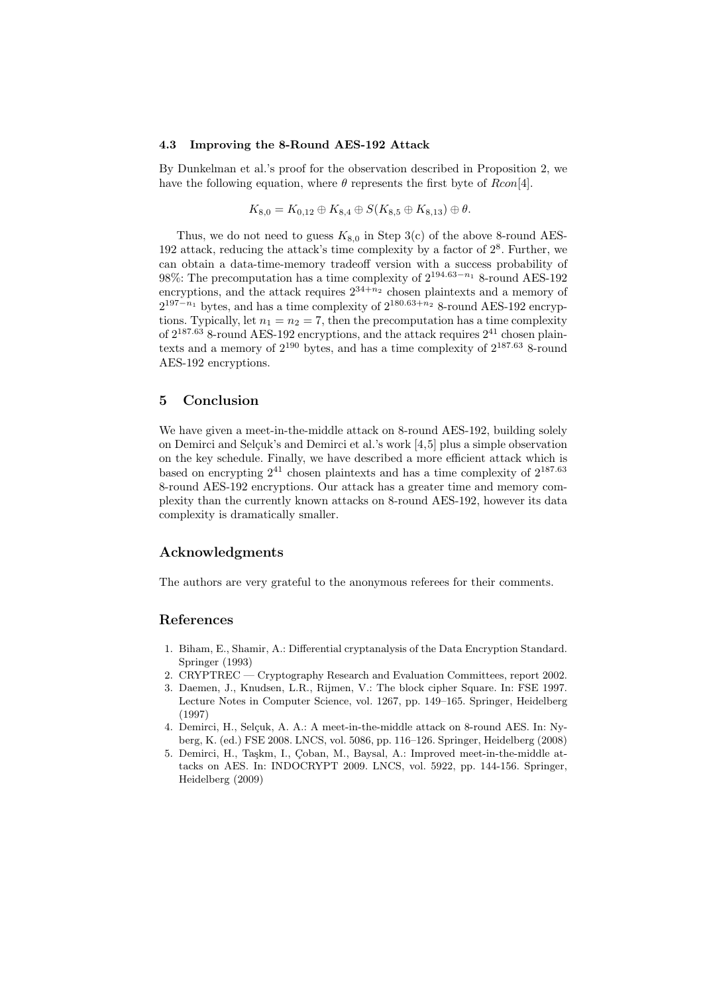#### 4.3 Improving the 8-Round AES-192 Attack

By Dunkelman et al.'s proof for the observation described in Proposition 2, we have the following equation, where  $\theta$  represents the first byte of Rcon[4].

$$
K_{8,0}=K_{0,12}\oplus K_{8,4}\oplus S(K_{8,5}\oplus K_{8,13})\oplus \theta.
$$

Thus, we do not need to guess  $K_{8,0}$  in Step 3(c) of the above 8-round AES-192 attack, reducing the attack's time complexity by a factor of  $2<sup>8</sup>$ . Further, we can obtain a data-time-memory tradeoff version with a success probability of 98%: The precomputation has a time complexity of  $2^{194.63-n_1}$  8-round AES-192 encryptions, and the attack requires  $2^{34+n_2}$  chosen plaintexts and a memory of  $2^{197-n_1}$  bytes, and has a time complexity of  $2^{180.63+n_2}$  8-round AES-192 encryptions. Typically, let  $n_1 = n_2 = 7$ , then the precomputation has a time complexity of  $2^{187.63}$  8-round AES-192 encryptions, and the attack requires  $2^{41}$  chosen plaintexts and a memory of  $2^{190}$  bytes, and has a time complexity of  $2^{187.63}$  8-round AES-192 encryptions.

## 5 Conclusion

We have given a meet-in-the-middle attack on 8-round AES-192, building solely on Demirci and Selçuk's and Demirci et al.'s work  $[4,5]$  plus a simple observation on the key schedule. Finally, we have described a more efficient attack which is based on encrypting  $2^{41}$  chosen plaintexts and has a time complexity of  $2^{187.63}$ 8-round AES-192 encryptions. Our attack has a greater time and memory complexity than the currently known attacks on 8-round AES-192, however its data complexity is dramatically smaller.

## Acknowledgments

The authors are very grateful to the anonymous referees for their comments.

# References

- 1. Biham, E., Shamir, A.: Differential cryptanalysis of the Data Encryption Standard. Springer (1993)
- 2. CRYPTREC Cryptography Research and Evaluation Committees, report 2002.
- 3. Daemen, J., Knudsen, L.R., Rijmen, V.: The block cipher Square. In: FSE 1997. Lecture Notes in Computer Science, vol. 1267, pp. 149–165. Springer, Heidelberg (1997)
- 4. Demirci, H., Selçuk, A. A.: A meet-in-the-middle attack on 8-round AES. In: Nyberg, K. (ed.) FSE 2008. LNCS, vol. 5086, pp. 116–126. Springer, Heidelberg (2008)
- 5. Demirci, H., Taşkm, I., Çoban, M., Baysal, A.: Improved meet-in-the-middle attacks on AES. In: INDOCRYPT 2009. LNCS, vol. 5922, pp. 144-156. Springer, Heidelberg (2009)